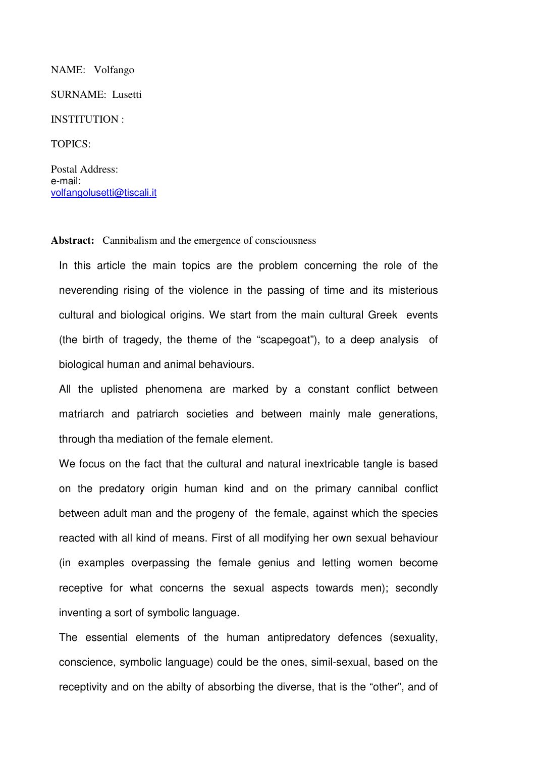## NAME: Volfango

SURNAME: Lusetti

## INSTITUTION :

TOPICS:

Postal Address: e-mail: volfangolusetti@tiscali.it

## Abstract: Cannibalism and the emergence of consciousness

In this article the main topics are the problem concerning the role of the neverending rising of the violence in the passing of time and its misterious cultural and biological origins. We start from the main cultural Greek events (the birth of tragedy, the theme of the "scapegoat"), to a deep analysis of biological human and animal behaviours.

All the uplisted phenomena are marked by a constant conflict between matriarch and patriarch societies and between mainly male generations, through tha mediation of the female element.

We focus on the fact that the cultural and natural inextricable tangle is based on the predatory origin human kind and on the primary cannibal conflict between adult man and the progeny of the female, against which the species reacted with all kind of means. First of all modifying her own sexual behaviour (in examples overpassing the female genius and letting women become receptive for what concerns the sexual aspects towards men); secondly inventing a sort of symbolic language.

The essential elements of the human antipredatory defences (sexuality, conscience, symbolic language) could be the ones, simil-sexual, based on the receptivity and on the abilty of absorbing the diverse, that is the "other", and of